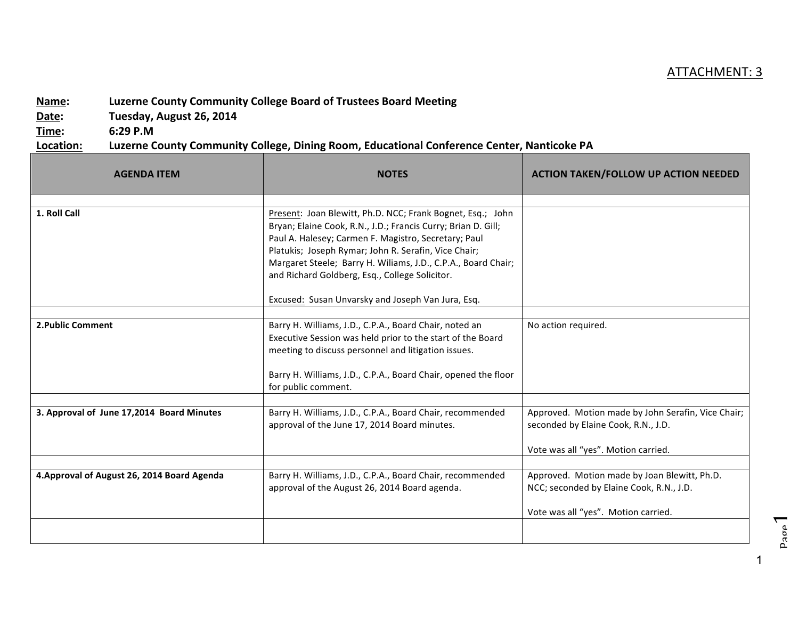## ATTACHMENT: 3

## **Name:** Luzerne County Community College Board of Trustees Board Meeting

Date: Tuesday, August 26, 2014

**Time: 6:29 P.M**

## Location: Luzerne County Community College, Dining Room, Educational Conference Center, Nanticoke PA

| <b>AGENDA ITEM</b>                          | <b>NOTES</b>                                                                                                                                                                                                                                                                                                                                                   | <b>ACTION TAKEN/FOLLOW UP ACTION NEEDED</b>                                                                                      |
|---------------------------------------------|----------------------------------------------------------------------------------------------------------------------------------------------------------------------------------------------------------------------------------------------------------------------------------------------------------------------------------------------------------------|----------------------------------------------------------------------------------------------------------------------------------|
|                                             |                                                                                                                                                                                                                                                                                                                                                                |                                                                                                                                  |
| 1. Roll Call                                | Present: Joan Blewitt, Ph.D. NCC; Frank Bognet, Esq.; John<br>Bryan; Elaine Cook, R.N., J.D.; Francis Curry; Brian D. Gill;<br>Paul A. Halesey; Carmen F. Magistro, Secretary; Paul<br>Platukis; Joseph Rymar; John R. Serafin, Vice Chair;<br>Margaret Steele; Barry H. Wiliams, J.D., C.P.A., Board Chair;<br>and Richard Goldberg, Esq., College Solicitor. |                                                                                                                                  |
|                                             | Excused: Susan Unvarsky and Joseph Van Jura, Esq.                                                                                                                                                                                                                                                                                                              |                                                                                                                                  |
| 2. Public Comment                           | Barry H. Williams, J.D., C.P.A., Board Chair, noted an<br>Executive Session was held prior to the start of the Board<br>meeting to discuss personnel and litigation issues.<br>Barry H. Williams, J.D., C.P.A., Board Chair, opened the floor<br>for public comment.                                                                                           | No action required.                                                                                                              |
|                                             |                                                                                                                                                                                                                                                                                                                                                                |                                                                                                                                  |
| 3. Approval of June 17,2014 Board Minutes   | Barry H. Williams, J.D., C.P.A., Board Chair, recommended<br>approval of the June 17, 2014 Board minutes.                                                                                                                                                                                                                                                      | Approved. Motion made by John Serafin, Vice Chair;<br>seconded by Elaine Cook, R.N., J.D.<br>Vote was all "yes". Motion carried. |
|                                             |                                                                                                                                                                                                                                                                                                                                                                |                                                                                                                                  |
| 4. Approval of August 26, 2014 Board Agenda | Barry H. Williams, J.D., C.P.A., Board Chair, recommended<br>approval of the August 26, 2014 Board agenda.                                                                                                                                                                                                                                                     | Approved. Motion made by Joan Blewitt, Ph.D.<br>NCC; seconded by Elaine Cook, R.N., J.D.<br>Vote was all "yes". Motion carried.  |
|                                             |                                                                                                                                                                                                                                                                                                                                                                |                                                                                                                                  |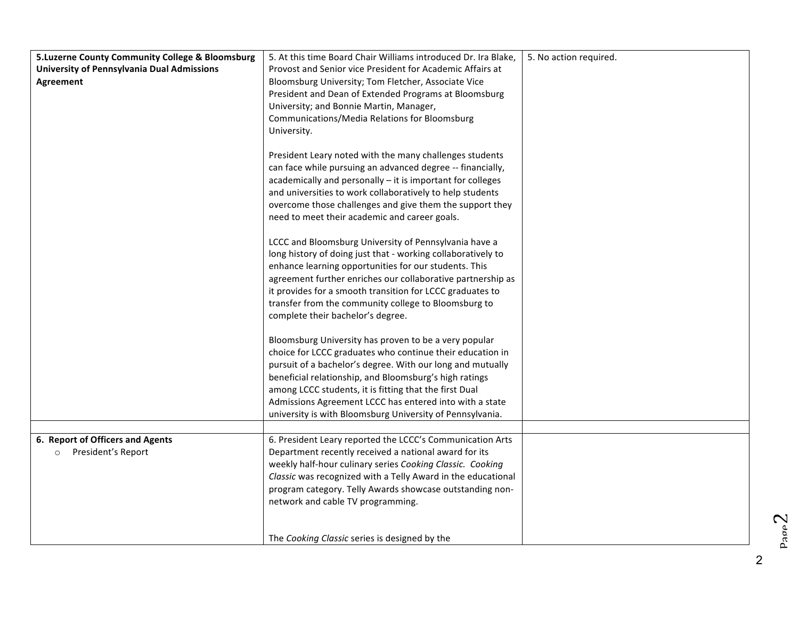| 5.Luzerne County Community College & Bloomsburg   | 5. At this time Board Chair Williams introduced Dr. Ira Blake, | 5. No action required. |
|---------------------------------------------------|----------------------------------------------------------------|------------------------|
| <b>University of Pennsylvania Dual Admissions</b> | Provost and Senior vice President for Academic Affairs at      |                        |
| Agreement                                         | Bloomsburg University; Tom Fletcher, Associate Vice            |                        |
|                                                   | President and Dean of Extended Programs at Bloomsburg          |                        |
|                                                   | University; and Bonnie Martin, Manager,                        |                        |
|                                                   | Communications/Media Relations for Bloomsburg                  |                        |
|                                                   | University.                                                    |                        |
|                                                   |                                                                |                        |
|                                                   | President Leary noted with the many challenges students        |                        |
|                                                   | can face while pursuing an advanced degree -- financially,     |                        |
|                                                   | academically and personally - it is important for colleges     |                        |
|                                                   | and universities to work collaboratively to help students      |                        |
|                                                   | overcome those challenges and give them the support they       |                        |
|                                                   | need to meet their academic and career goals.                  |                        |
|                                                   |                                                                |                        |
|                                                   | LCCC and Bloomsburg University of Pennsylvania have a          |                        |
|                                                   | long history of doing just that - working collaboratively to   |                        |
|                                                   | enhance learning opportunities for our students. This          |                        |
|                                                   | agreement further enriches our collaborative partnership as    |                        |
|                                                   | it provides for a smooth transition for LCCC graduates to      |                        |
|                                                   | transfer from the community college to Bloomsburg to           |                        |
|                                                   | complete their bachelor's degree.                              |                        |
|                                                   | Bloomsburg University has proven to be a very popular          |                        |
|                                                   | choice for LCCC graduates who continue their education in      |                        |
|                                                   | pursuit of a bachelor's degree. With our long and mutually     |                        |
|                                                   | beneficial relationship, and Bloomsburg's high ratings         |                        |
|                                                   | among LCCC students, it is fitting that the first Dual         |                        |
|                                                   | Admissions Agreement LCCC has entered into with a state        |                        |
|                                                   | university is with Bloomsburg University of Pennsylvania.      |                        |
|                                                   |                                                                |                        |
| 6. Report of Officers and Agents                  | 6. President Leary reported the LCCC's Communication Arts      |                        |
| President's Report<br>$\circ$                     | Department recently received a national award for its          |                        |
|                                                   | weekly half-hour culinary series Cooking Classic. Cooking      |                        |
|                                                   | Classic was recognized with a Telly Award in the educational   |                        |
|                                                   | program category. Telly Awards showcase outstanding non-       |                        |
|                                                   | network and cable TV programming.                              |                        |
|                                                   |                                                                |                        |
|                                                   |                                                                |                        |
|                                                   | The Cooking Classic series is designed by the                  |                        |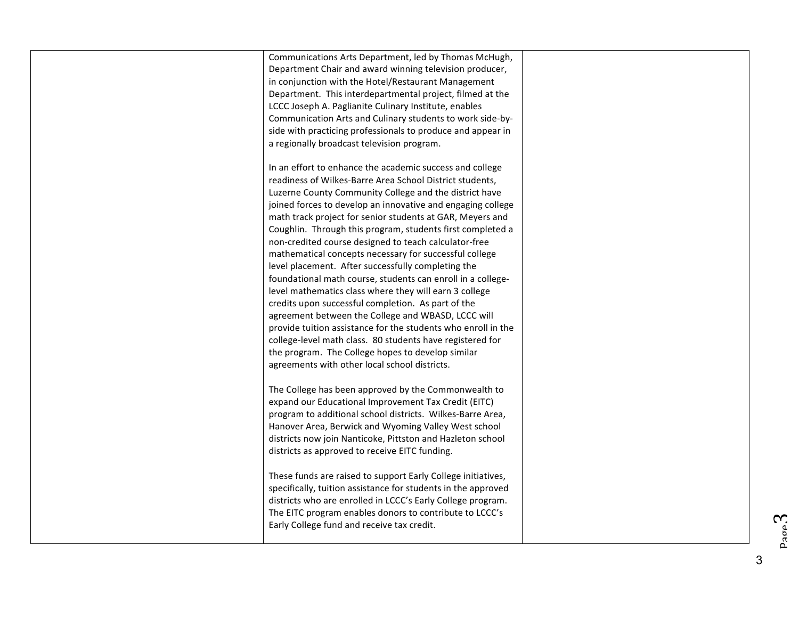| Communications Arts Department, led by Thomas McHugh,<br>Department Chair and award winning television producer,<br>in conjunction with the Hotel/Restaurant Management<br>Department. This interdepartmental project, filmed at the<br>LCCC Joseph A. Paglianite Culinary Institute, enables<br>Communication Arts and Culinary students to work side-by-<br>side with practicing professionals to produce and appear in<br>a regionally broadcast television program.                                                                                                                                                                                                                                                                                                                                                                                                                                                                                                                                                    |  |
|----------------------------------------------------------------------------------------------------------------------------------------------------------------------------------------------------------------------------------------------------------------------------------------------------------------------------------------------------------------------------------------------------------------------------------------------------------------------------------------------------------------------------------------------------------------------------------------------------------------------------------------------------------------------------------------------------------------------------------------------------------------------------------------------------------------------------------------------------------------------------------------------------------------------------------------------------------------------------------------------------------------------------|--|
| In an effort to enhance the academic success and college<br>readiness of Wilkes-Barre Area School District students,<br>Luzerne County Community College and the district have<br>joined forces to develop an innovative and engaging college<br>math track project for senior students at GAR, Meyers and<br>Coughlin. Through this program, students first completed a<br>non-credited course designed to teach calculator-free<br>mathematical concepts necessary for successful college<br>level placement. After successfully completing the<br>foundational math course, students can enroll in a college-<br>level mathematics class where they will earn 3 college<br>credits upon successful completion. As part of the<br>agreement between the College and WBASD, LCCC will<br>provide tuition assistance for the students who enroll in the<br>college-level math class. 80 students have registered for<br>the program. The College hopes to develop similar<br>agreements with other local school districts. |  |
| The College has been approved by the Commonwealth to<br>expand our Educational Improvement Tax Credit (EITC)<br>program to additional school districts. Wilkes-Barre Area,<br>Hanover Area, Berwick and Wyoming Valley West school<br>districts now join Nanticoke, Pittston and Hazleton school<br>districts as approved to receive EITC funding.<br>These funds are raised to support Early College initiatives,<br>specifically, tuition assistance for students in the approved<br>districts who are enrolled in LCCC's Early College program.<br>The EITC program enables donors to contribute to LCCC's<br>Early College fund and receive tax credit.                                                                                                                                                                                                                                                                                                                                                                |  |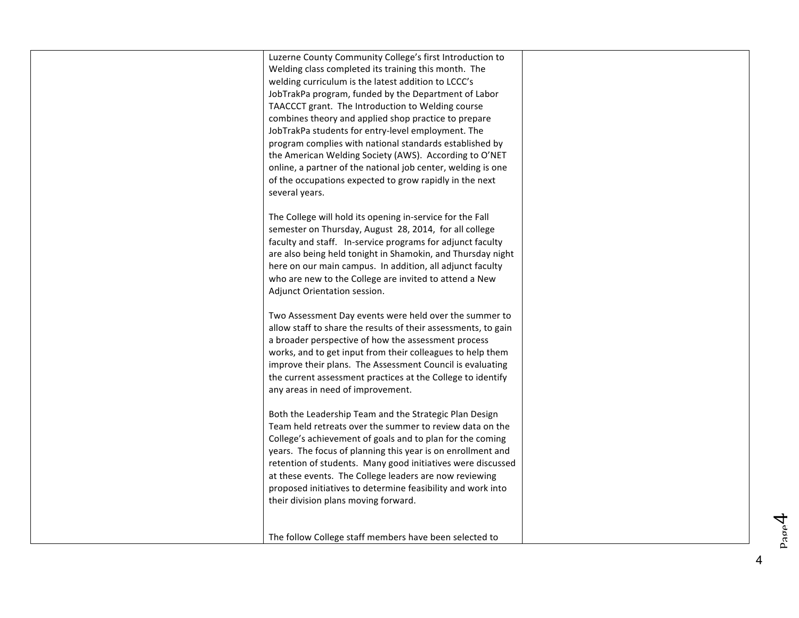Luzerne County Community College's first Introduction to Welding class completed its training this month. The welding curriculum is the latest addition to LCCC's JobTrakPa program, funded by the Department of Labor TAACCCT grant. The Introduction to Welding course combines theory and applied shop practice to prepare JobTrakPa students for entry-level employment. The program complies with national standards established by the American Welding Society (AWS). According to O'NET online, a partner of the national job center, welding is one of the occupations expected to grow rapidly in the next several years.

The College will hold its opening in-service for the Fall semester on Thursday, August 28, 2014, for all college faculty and staff. In-service programs for adjunct faculty are also being held tonight in Shamokin, and Thursday night here on our main campus. In addition, all adjunct faculty who are new to the College are invited to attend a New Adjunct Orientation session.

Two Assessment Day events were held over the summer to allow staff to share the results of their assessments, to gain a broader perspective of how the assessment process works, and to get input from their colleagues to help them improve their plans. The Assessment Council is evaluating the current assessment practices at the College to identify any areas in need of improvement.

Both the Leadership Team and the Strategic Plan Design Team held retreats over the summer to review data on the College's achievement of goals and to plan for the coming years. The focus of planning this year is on enrollment and retention of students. Many good initiatives were discussed at these events. The College leaders are now reviewing proposed initiatives to determine feasibility and work into their division plans moving forward.

The follow College staff members have been selected to

P<sub>age</sub>4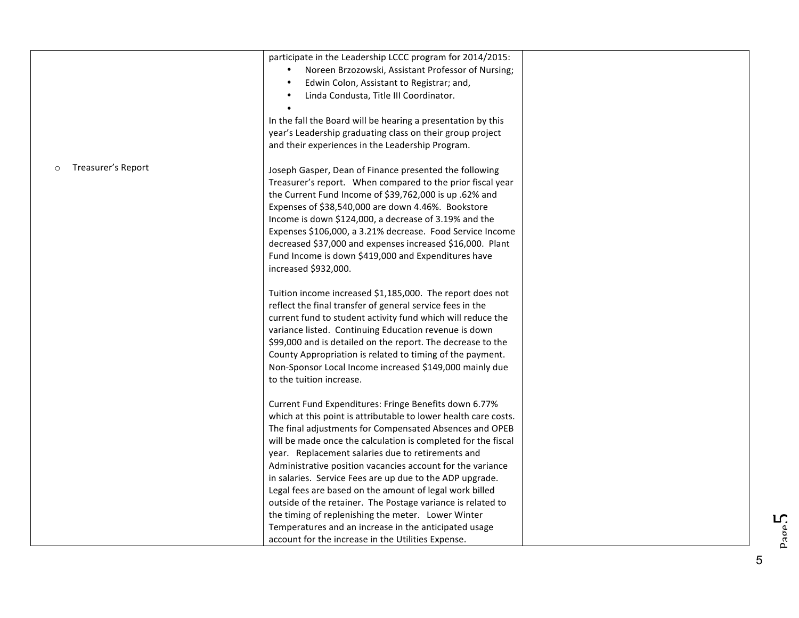|                               | participate in the Leadership LCCC program for 2014/2015:<br>Noreen Brzozowski, Assistant Professor of Nursing;<br>Edwin Colon, Assistant to Registrar; and,<br>Linda Condusta, Title III Coordinator.<br>In the fall the Board will be hearing a presentation by this<br>year's Leadership graduating class on their group project                                                                                                                                                                                                                                                                                                                                          |  |
|-------------------------------|------------------------------------------------------------------------------------------------------------------------------------------------------------------------------------------------------------------------------------------------------------------------------------------------------------------------------------------------------------------------------------------------------------------------------------------------------------------------------------------------------------------------------------------------------------------------------------------------------------------------------------------------------------------------------|--|
| Treasurer's Report<br>$\circ$ | and their experiences in the Leadership Program.<br>Joseph Gasper, Dean of Finance presented the following<br>Treasurer's report. When compared to the prior fiscal year<br>the Current Fund Income of \$39,762,000 is up .62% and<br>Expenses of \$38,540,000 are down 4.46%. Bookstore<br>Income is down \$124,000, a decrease of 3.19% and the<br>Expenses \$106,000, a 3.21% decrease. Food Service Income<br>decreased \$37,000 and expenses increased \$16,000. Plant<br>Fund Income is down \$419,000 and Expenditures have<br>increased \$932,000.                                                                                                                   |  |
|                               | Tuition income increased \$1,185,000. The report does not<br>reflect the final transfer of general service fees in the<br>current fund to student activity fund which will reduce the<br>variance listed. Continuing Education revenue is down<br>\$99,000 and is detailed on the report. The decrease to the<br>County Appropriation is related to timing of the payment.<br>Non-Sponsor Local Income increased \$149,000 mainly due<br>to the tuition increase.                                                                                                                                                                                                            |  |
|                               | Current Fund Expenditures: Fringe Benefits down 6.77%<br>which at this point is attributable to lower health care costs.<br>The final adjustments for Compensated Absences and OPEB<br>will be made once the calculation is completed for the fiscal<br>year. Replacement salaries due to retirements and<br>Administrative position vacancies account for the variance<br>in salaries. Service Fees are up due to the ADP upgrade.<br>Legal fees are based on the amount of legal work billed<br>outside of the retainer. The Postage variance is related to<br>the timing of replenishing the meter. Lower Winter<br>Temperatures and an increase in the anticipated usage |  |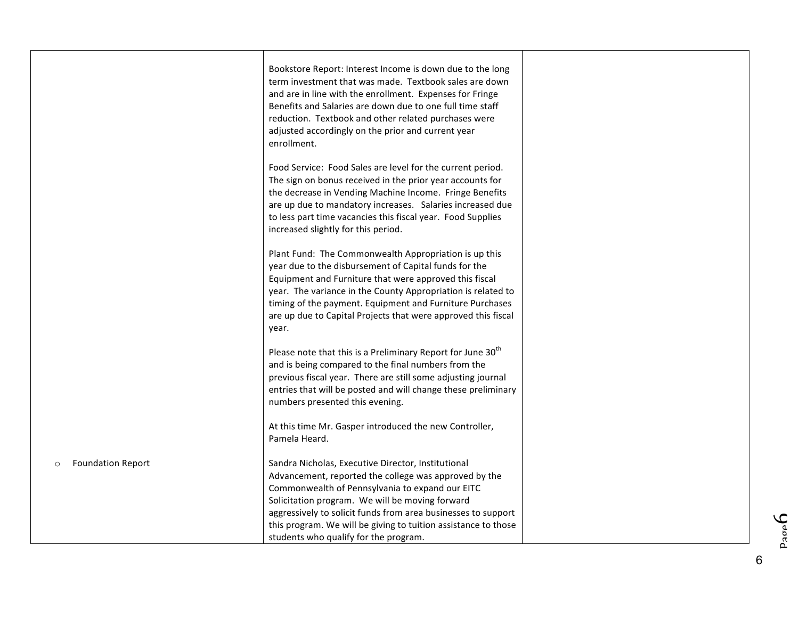|                                     | Bookstore Report: Interest Income is down due to the long<br>term investment that was made. Textbook sales are down<br>and are in line with the enrollment. Expenses for Fringe<br>Benefits and Salaries are down due to one full time staff<br>reduction. Textbook and other related purchases were<br>adjusted accordingly on the prior and current year<br>enrollment.                     |  |
|-------------------------------------|-----------------------------------------------------------------------------------------------------------------------------------------------------------------------------------------------------------------------------------------------------------------------------------------------------------------------------------------------------------------------------------------------|--|
|                                     | Food Service: Food Sales are level for the current period.<br>The sign on bonus received in the prior year accounts for<br>the decrease in Vending Machine Income. Fringe Benefits<br>are up due to mandatory increases. Salaries increased due<br>to less part time vacancies this fiscal year. Food Supplies<br>increased slightly for this period.                                         |  |
|                                     | Plant Fund: The Commonwealth Appropriation is up this<br>year due to the disbursement of Capital funds for the<br>Equipment and Furniture that were approved this fiscal<br>year. The variance in the County Appropriation is related to<br>timing of the payment. Equipment and Furniture Purchases<br>are up due to Capital Projects that were approved this fiscal<br>year.                |  |
|                                     | Please note that this is a Preliminary Report for June 30 <sup>th</sup><br>and is being compared to the final numbers from the<br>previous fiscal year. There are still some adjusting journal<br>entries that will be posted and will change these preliminary<br>numbers presented this evening.                                                                                            |  |
|                                     | At this time Mr. Gasper introduced the new Controller,<br>Pamela Heard.                                                                                                                                                                                                                                                                                                                       |  |
| <b>Foundation Report</b><br>$\circ$ | Sandra Nicholas, Executive Director, Institutional<br>Advancement, reported the college was approved by the<br>Commonwealth of Pennsylvania to expand our EITC<br>Solicitation program. We will be moving forward<br>aggressively to solicit funds from area businesses to support<br>this program. We will be giving to tuition assistance to those<br>students who qualify for the program. |  |

 $\mathsf{p}^{\mathtt{advd}}$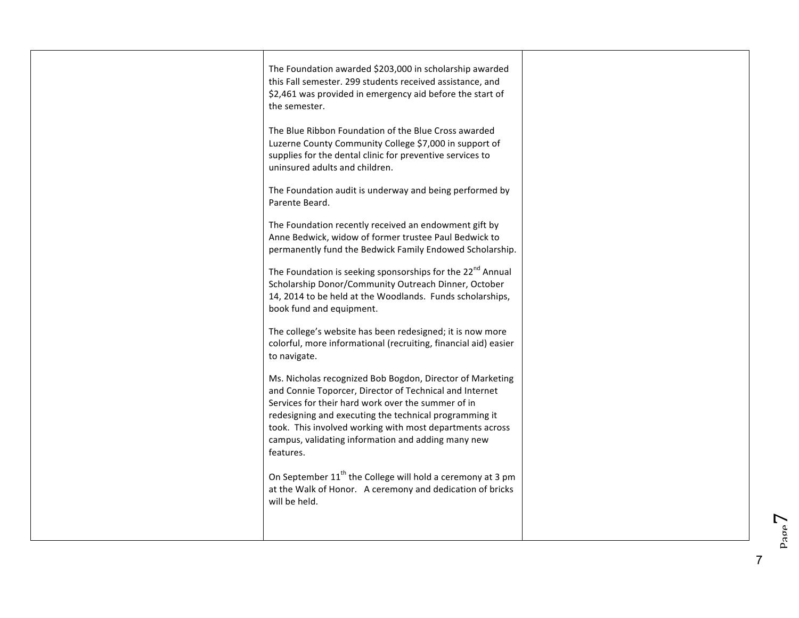| The Foundation awarded \$203,000 in scholarship awarded<br>this Fall semester. 299 students received assistance, and<br>\$2,461 was provided in emergency aid before the start of                                                                                                                                                                                   |  |
|---------------------------------------------------------------------------------------------------------------------------------------------------------------------------------------------------------------------------------------------------------------------------------------------------------------------------------------------------------------------|--|
| the semester.                                                                                                                                                                                                                                                                                                                                                       |  |
| The Blue Ribbon Foundation of the Blue Cross awarded<br>Luzerne County Community College \$7,000 in support of<br>supplies for the dental clinic for preventive services to<br>uninsured adults and children.                                                                                                                                                       |  |
| The Foundation audit is underway and being performed by<br>Parente Beard.                                                                                                                                                                                                                                                                                           |  |
| The Foundation recently received an endowment gift by<br>Anne Bedwick, widow of former trustee Paul Bedwick to<br>permanently fund the Bedwick Family Endowed Scholarship.                                                                                                                                                                                          |  |
| The Foundation is seeking sponsorships for the 22 <sup>nd</sup> Annual<br>Scholarship Donor/Community Outreach Dinner, October<br>14, 2014 to be held at the Woodlands. Funds scholarships,<br>book fund and equipment.                                                                                                                                             |  |
| The college's website has been redesigned; it is now more<br>colorful, more informational (recruiting, financial aid) easier<br>to navigate.                                                                                                                                                                                                                        |  |
| Ms. Nicholas recognized Bob Bogdon, Director of Marketing<br>and Connie Toporcer, Director of Technical and Internet<br>Services for their hard work over the summer of in<br>redesigning and executing the technical programming it<br>took. This involved working with most departments across<br>campus, validating information and adding many new<br>features. |  |
| On September 11 <sup>th</sup> the College will hold a ceremony at 3 pm<br>at the Walk of Honor. A ceremony and dedication of bricks<br>will be held.                                                                                                                                                                                                                |  |
|                                                                                                                                                                                                                                                                                                                                                                     |  |

 $P_{\text{app}}$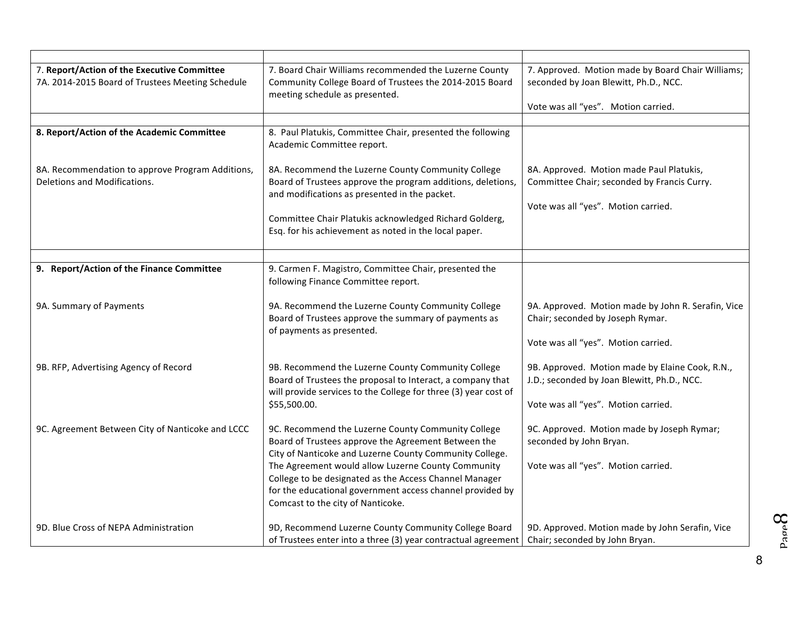| 7. Report/Action of the Executive Committee<br>7A. 2014-2015 Board of Trustees Meeting Schedule | 7. Board Chair Williams recommended the Luzerne County<br>Community College Board of Trustees the 2014-2015 Board<br>meeting schedule as presented.                                                                                                                                                                                                                                    | 7. Approved. Motion made by Board Chair Williams;<br>seconded by Joan Blewitt, Ph.D., NCC.                                            |
|-------------------------------------------------------------------------------------------------|----------------------------------------------------------------------------------------------------------------------------------------------------------------------------------------------------------------------------------------------------------------------------------------------------------------------------------------------------------------------------------------|---------------------------------------------------------------------------------------------------------------------------------------|
|                                                                                                 |                                                                                                                                                                                                                                                                                                                                                                                        | Vote was all "yes". Motion carried.                                                                                                   |
| 8. Report/Action of the Academic Committee                                                      | 8. Paul Platukis, Committee Chair, presented the following<br>Academic Committee report.                                                                                                                                                                                                                                                                                               |                                                                                                                                       |
| 8A. Recommendation to approve Program Additions,<br>Deletions and Modifications.                | 8A. Recommend the Luzerne County Community College<br>Board of Trustees approve the program additions, deletions,<br>and modifications as presented in the packet.<br>Committee Chair Platukis acknowledged Richard Golderg,<br>Esq. for his achievement as noted in the local paper.                                                                                                  | 8A. Approved. Motion made Paul Platukis,<br>Committee Chair; seconded by Francis Curry.<br>Vote was all "yes". Motion carried.        |
|                                                                                                 |                                                                                                                                                                                                                                                                                                                                                                                        |                                                                                                                                       |
| 9. Report/Action of the Finance Committee                                                       | 9. Carmen F. Magistro, Committee Chair, presented the<br>following Finance Committee report.                                                                                                                                                                                                                                                                                           |                                                                                                                                       |
| 9A. Summary of Payments                                                                         | 9A. Recommend the Luzerne County Community College<br>Board of Trustees approve the summary of payments as<br>of payments as presented.                                                                                                                                                                                                                                                | 9A. Approved. Motion made by John R. Serafin, Vice<br>Chair; seconded by Joseph Rymar.<br>Vote was all "yes". Motion carried.         |
| 9B. RFP, Advertising Agency of Record                                                           | 9B. Recommend the Luzerne County Community College<br>Board of Trustees the proposal to Interact, a company that<br>will provide services to the College for three (3) year cost of<br>\$55,500.00.                                                                                                                                                                                    | 9B. Approved. Motion made by Elaine Cook, R.N.,<br>J.D.; seconded by Joan Blewitt, Ph.D., NCC.<br>Vote was all "yes". Motion carried. |
| 9C. Agreement Between City of Nanticoke and LCCC                                                | 9C. Recommend the Luzerne County Community College<br>Board of Trustees approve the Agreement Between the<br>City of Nanticoke and Luzerne County Community College.<br>The Agreement would allow Luzerne County Community<br>College to be designated as the Access Channel Manager<br>for the educational government access channel provided by<br>Comcast to the city of Nanticoke. | 9C. Approved. Motion made by Joseph Rymar;<br>seconded by John Bryan.<br>Vote was all "yes". Motion carried.                          |
| 9D. Blue Cross of NEPA Administration                                                           | 9D, Recommend Luzerne County Community College Board<br>of Trustees enter into a three (3) year contractual agreement                                                                                                                                                                                                                                                                  | 9D. Approved. Motion made by John Serafin, Vice<br>Chair; seconded by John Bryan.                                                     |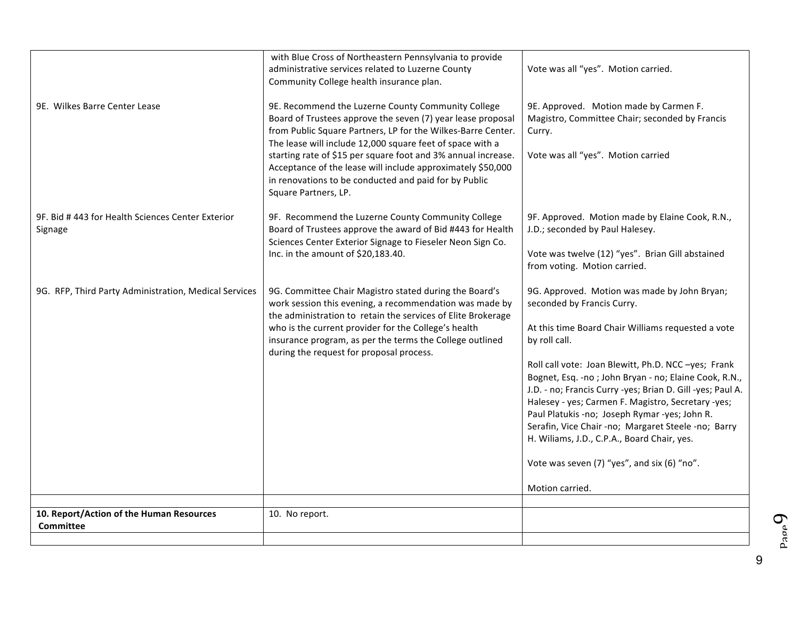|                                                             | with Blue Cross of Northeastern Pennsylvania to provide<br>administrative services related to Luzerne County<br>Community College health insurance plan.                                                                                                                                                                                                                                                                                                        | Vote was all "yes". Motion carried.                                                                                                                                                                                                                                                                                                                                                                                                                                                                                                                                                                             |
|-------------------------------------------------------------|-----------------------------------------------------------------------------------------------------------------------------------------------------------------------------------------------------------------------------------------------------------------------------------------------------------------------------------------------------------------------------------------------------------------------------------------------------------------|-----------------------------------------------------------------------------------------------------------------------------------------------------------------------------------------------------------------------------------------------------------------------------------------------------------------------------------------------------------------------------------------------------------------------------------------------------------------------------------------------------------------------------------------------------------------------------------------------------------------|
| 9E. Wilkes Barre Center Lease                               | 9E. Recommend the Luzerne County Community College<br>Board of Trustees approve the seven (7) year lease proposal<br>from Public Square Partners, LP for the Wilkes-Barre Center.<br>The lease will include 12,000 square feet of space with a<br>starting rate of \$15 per square foot and 3% annual increase.<br>Acceptance of the lease will include approximately \$50,000<br>in renovations to be conducted and paid for by Public<br>Square Partners, LP. | 9E. Approved. Motion made by Carmen F.<br>Magistro, Committee Chair; seconded by Francis<br>Curry.<br>Vote was all "yes". Motion carried                                                                                                                                                                                                                                                                                                                                                                                                                                                                        |
| 9F. Bid #443 for Health Sciences Center Exterior<br>Signage | 9F. Recommend the Luzerne County Community College<br>Board of Trustees approve the award of Bid #443 for Health<br>Sciences Center Exterior Signage to Fieseler Neon Sign Co.<br>Inc. in the amount of \$20,183.40.                                                                                                                                                                                                                                            | 9F. Approved. Motion made by Elaine Cook, R.N.,<br>J.D.; seconded by Paul Halesey.<br>Vote was twelve (12) "yes". Brian Gill abstained<br>from voting. Motion carried.                                                                                                                                                                                                                                                                                                                                                                                                                                          |
| 9G. RFP, Third Party Administration, Medical Services       | 9G. Committee Chair Magistro stated during the Board's<br>work session this evening, a recommendation was made by<br>the administration to retain the services of Elite Brokerage<br>who is the current provider for the College's health<br>insurance program, as per the terms the College outlined<br>during the request for proposal process.                                                                                                               | 9G. Approved. Motion was made by John Bryan;<br>seconded by Francis Curry.<br>At this time Board Chair Williams requested a vote<br>by roll call.<br>Roll call vote: Joan Blewitt, Ph.D. NCC-yes; Frank<br>Bognet, Esq. - no ; John Bryan - no; Elaine Cook, R.N.,<br>J.D. - no; Francis Curry -yes; Brian D. Gill -yes; Paul A.<br>Halesey - yes; Carmen F. Magistro, Secretary -yes;<br>Paul Platukis -no; Joseph Rymar -yes; John R.<br>Serafin, Vice Chair -no; Margaret Steele -no; Barry<br>H. Wiliams, J.D., C.P.A., Board Chair, yes.<br>Vote was seven (7) "yes", and six (6) "no".<br>Motion carried. |
| 10. Report/Action of the Human Resources                    | 10. No report.                                                                                                                                                                                                                                                                                                                                                                                                                                                  |                                                                                                                                                                                                                                                                                                                                                                                                                                                                                                                                                                                                                 |
| Committee                                                   |                                                                                                                                                                                                                                                                                                                                                                                                                                                                 |                                                                                                                                                                                                                                                                                                                                                                                                                                                                                                                                                                                                                 |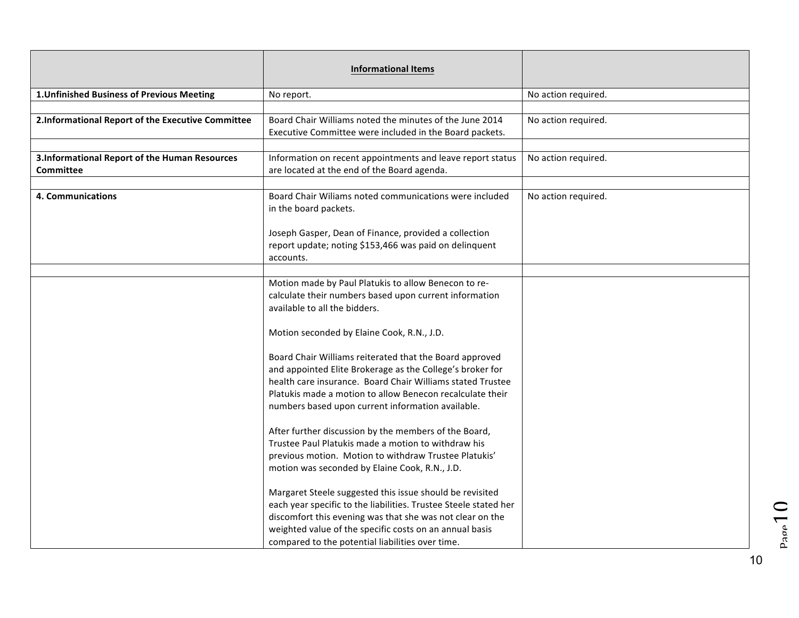|                                                   | <b>Informational Items</b>                                                      |                     |
|---------------------------------------------------|---------------------------------------------------------------------------------|---------------------|
| 1. Unfinished Business of Previous Meeting        | No report.                                                                      | No action required. |
|                                                   |                                                                                 |                     |
| 2.Informational Report of the Executive Committee | Board Chair Williams noted the minutes of the June 2014                         | No action required. |
|                                                   | Executive Committee were included in the Board packets.                         |                     |
|                                                   |                                                                                 |                     |
| 3.Informational Report of the Human Resources     | Information on recent appointments and leave report status                      | No action required. |
| <b>Committee</b>                                  | are located at the end of the Board agenda.                                     |                     |
|                                                   |                                                                                 |                     |
| 4. Communications                                 | Board Chair Wiliams noted communications were included<br>in the board packets. | No action required. |
|                                                   | Joseph Gasper, Dean of Finance, provided a collection                           |                     |
|                                                   | report update; noting \$153,466 was paid on delinquent                          |                     |
|                                                   | accounts.                                                                       |                     |
|                                                   |                                                                                 |                     |
|                                                   | Motion made by Paul Platukis to allow Benecon to re-                            |                     |
|                                                   | calculate their numbers based upon current information                          |                     |
|                                                   | available to all the bidders.                                                   |                     |
|                                                   |                                                                                 |                     |
|                                                   | Motion seconded by Elaine Cook, R.N., J.D.                                      |                     |
|                                                   | Board Chair Williams reiterated that the Board approved                         |                     |
|                                                   | and appointed Elite Brokerage as the College's broker for                       |                     |
|                                                   | health care insurance. Board Chair Williams stated Trustee                      |                     |
|                                                   | Platukis made a motion to allow Benecon recalculate their                       |                     |
|                                                   | numbers based upon current information available.                               |                     |
|                                                   | After further discussion by the members of the Board,                           |                     |
|                                                   | Trustee Paul Platukis made a motion to withdraw his                             |                     |
|                                                   | previous motion. Motion to withdraw Trustee Platukis'                           |                     |
|                                                   | motion was seconded by Elaine Cook, R.N., J.D.                                  |                     |
|                                                   |                                                                                 |                     |
|                                                   | Margaret Steele suggested this issue should be revisited                        |                     |
|                                                   | each year specific to the liabilities. Trustee Steele stated her                |                     |
|                                                   | discomfort this evening was that she was not clear on the                       |                     |
|                                                   | weighted value of the specific costs on an annual basis                         |                     |
|                                                   | compared to the potential liabilities over time.                                |                     |

 $p_{\text{app}}10$